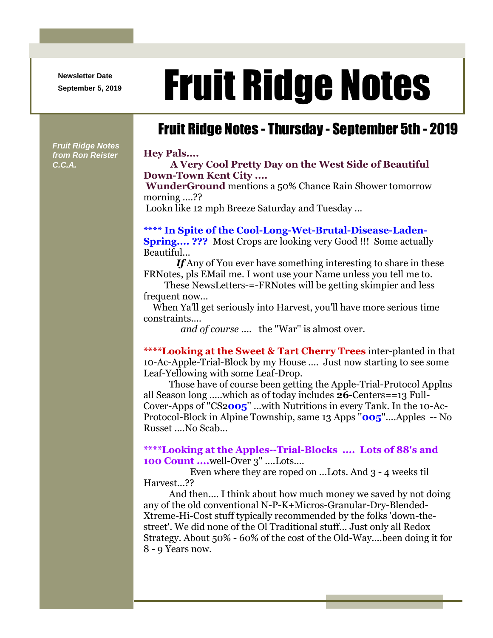**Newsletter Date**

*Fruit Ridge Notes from Ron Reister* 

*C.C.A.*

# Newsletter Date **Fruit Ridge Notes**

## Fruit Ridge Notes - Thursday - September 5th - 2019

#### **Hey Pals....**

**A Very Cool Pretty Day on the West Side of Beautiful Down-Town Kent City ....**

**WunderGround** mentions a 50% Chance Rain Shower tomorrow morning ....??

Lookn like 12 mph Breeze Saturday and Tuesday ...

### **\*\*\*\* In Spite of the Cool-Long-Wet-Brutal-Disease-Laden-**

**Spring.... ???** Most Crops are looking very Good !!! Some actually Beautiful...

*If* Any of You ever have something interesting to share in these FRNotes, pls EMail me. I wont use your Name unless you tell me to.

These NewsLetters-=-FRNotes will be getting skimpier and less frequent now...

When Ya'll get seriously into Harvest, you'll have more serious time constraints....

*and of course* .... the ''War'' is almost over.

**\*\*\*\*Looking at the Sweet & Tart Cherry Trees** inter-planted in that 10-Ac-Apple-Trial-Block by my House .... Just now starting to see some Leaf-Yellowing with some Leaf-Drop.

Those have of course been getting the Apple-Trial-Protocol Applns all Season long .....which as of today includes **26**-Centers==13 Full-Cover-Apps of ''CS2**005**'' ...with Nutritions in every Tank. In the 10-Ac-Protocol-Block in Alpine Township, same 13 Apps ''**005**''....Apples -- No Russet ....No Scab...

**\*\*\*\*Looking at the Apples--Trial-Blocks .... Lots of 88's and 100 Count ....**well-Over 3" ....Lots....

Even where they are roped on ...Lots. And 3 - 4 weeks til Harvest...??

And then.... I think about how much money we saved by not doing any of the old conventional N-P-K+Micros-Granular-Dry-Blended-Xtreme-Hi-Cost stuff typically recommended by the folks 'down-thestreet'. We did none of the Ol Traditional stuff... Just only all Redox Strategy. About 50% - 60% of the cost of the Old-Way....been doing it for 8 - 9 Years now.